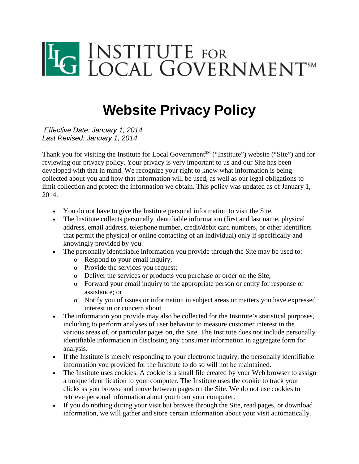

# **Website Privacy Policy**

*Effective Date: January 1, 2014 Last Revised: January 1, 2014*

Thank you for visiting the Institute for Local Government<sup>SM</sup> ("Institute") website ("Site") and for reviewing our privacy policy. Your privacy is very important to us and our Site has been developed with that in mind. We recognize your right to know what information is being collected about you and how that information will be used, as well as our legal obligations to limit collection and protect the information we obtain. This policy was updated as of January 1, 2014.

- You do not have to give the Institute personal information to visit the Site.
- The Institute collects personally identifiable information (first and last name, physical address, email address, telephone number, credit/debit card numbers, or other identifiers that permit the physical or online contacting of an individual) only if specifically and knowingly provided by you.
- The personally identifiable information you provide through the Site may be used to:
	- o Respond to your email inquiry;
	- o Provide the services you request;
	- o Deliver the services or products you purchase or order on the Site;
	- o Forward your email inquiry to the appropriate person or entity for response or assistance; or
	- o Notify you of issues or information in subject areas or matters you have expressed interest in or concern about.
- The information you provide may also be collected for the Institute's statistical purposes, including to perform analyses of user behavior to measure customer interest in the various areas of, or particular pages on, the Site. The Institute does not include personally identifiable information in disclosing any consumer information in aggregate form for analysis.
- If the Institute is merely responding to your electronic inquiry, the personally identifiable information you provided for the Institute to do so will not be maintained.
- The Institute uses cookies. A cookie is a small file created by your Web browser to assign a unique identification to your computer. The Institute uses the cookie to track your clicks as you browse and move between pages on the Site. We do not use cookies to retrieve personal information about you from your computer.
- If you do nothing during your visit but browse through the Site, read pages, or download information, we will gather and store certain information about your visit automatically.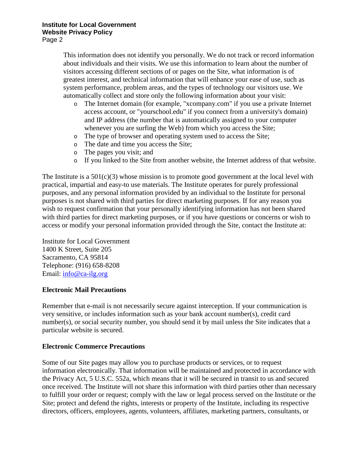This information does not identify you personally. We do not track or record information about individuals and their visits. We use this information to learn about the number of visitors accessing different sections of or pages on the Site, what information is of greatest interest, and technical information that will enhance your ease of use, such as system performance, problem areas, and the types of technology our visitors use. We automatically collect and store only the following information about your visit:

- o The Internet domain (for example, "xcompany.com" if you use a private Internet access account, or "yourschool.edu" if you connect from a university's domain) and IP address (the number that is automatically assigned to your computer whenever you are surfing the Web) from which you access the Site;
- o The type of browser and operating system used to access the Site;
- o The date and time you access the Site;
- o The pages you visit; and
- o If you linked to the Site from another website, the Internet address of that website.

The Institute is a  $501(c)(3)$  whose mission is to promote good government at the local level with practical, impartial and easy-to use materials. The Institute operates for purely professional purposes, and any personal information provided by an individual to the Institute for personal purposes is not shared with third parties for direct marketing purposes. If for any reason you wish to request confirmation that your personally identifying information has not been shared with third parties for direct marketing purposes, or if you have questions or concerns or wish to access or modify your personal information provided through the Site, contact the Institute at:

Institute for Local Government 1400 K Street, Suite 205 Sacramento, CA 95814 Telephone: (916) 658-8208 Email: [info@ca-ilg.org](mailto:info@ca-ilg.org?subject=Website%20Privacy%20Policy)

## **Electronic Mail Precautions**

Remember that e-mail is not necessarily secure against interception. If your communication is very sensitive, or includes information such as your bank account number(s), credit card number(s), or social security number, you should send it by mail unless the Site indicates that a particular website is secured.

#### **Electronic Commerce Precautions**

Some of our Site pages may allow you to purchase products or services, or to request information electronically. That information will be maintained and protected in accordance with the Privacy Act, 5 U.S.C. 552a, which means that it will be secured in transit to us and secured once received. The Institute will not share this information with third parties other than necessary to fulfill your order or request; comply with the law or legal process served on the Institute or the Site; protect and defend the rights, interests or property of the Institute, including its respective directors, officers, employees, agents, volunteers, affiliates, marketing partners, consultants, or